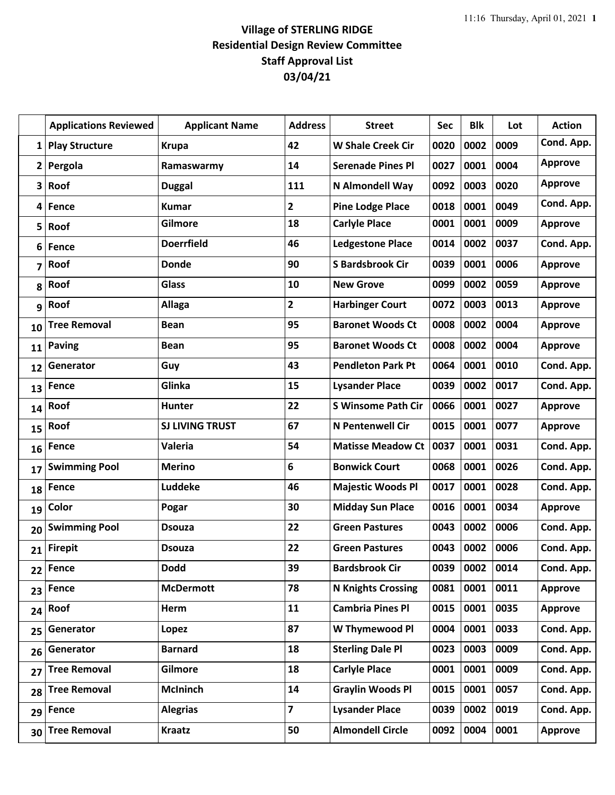## **Village of STERLING RIDGE Residential Design Review Committee Staff Approval List 03/04/21**

|              | <b>Applications Reviewed</b> | <b>Applicant Name</b>  | <b>Address</b>          | <b>Street</b>             | <b>Sec</b> | <b>Blk</b> | Lot  | <b>Action</b>  |
|--------------|------------------------------|------------------------|-------------------------|---------------------------|------------|------------|------|----------------|
| $\mathbf{1}$ | <b>Play Structure</b>        | <b>Krupa</b>           | 42                      | <b>W Shale Creek Cir</b>  | 0020       | 0002       | 0009 | Cond. App.     |
|              | 2 Pergola                    | Ramaswarmy             | 14                      | <b>Serenade Pines Pl</b>  | 0027       | 0001       | 0004 | <b>Approve</b> |
| 3            | Roof                         | <b>Duggal</b>          | 111                     | N Almondell Way           | 0092       | 0003       | 0020 | <b>Approve</b> |
| 4            | Fence                        | <b>Kumar</b>           | $\mathbf{2}$            | <b>Pine Lodge Place</b>   | 0018       | 0001       | 0049 | Cond. App.     |
| 5            | Roof                         | Gilmore                | 18                      | <b>Carlyle Place</b>      | 0001       | 0001       | 0009 | <b>Approve</b> |
| 6            | Fence                        | <b>Doerrfield</b>      | 46                      | <b>Ledgestone Place</b>   | 0014       | 0002       | 0037 | Cond. App.     |
| 7            | Roof                         | <b>Donde</b>           | 90                      | <b>S Bardsbrook Cir</b>   | 0039       | 0001       | 0006 | <b>Approve</b> |
| 8            | Roof                         | <b>Glass</b>           | 10                      | <b>New Grove</b>          | 0099       | 0002       | 0059 | <b>Approve</b> |
| 9            | Roof                         | <b>Allaga</b>          | $\overline{2}$          | <b>Harbinger Court</b>    | 0072       | 0003       | 0013 | <b>Approve</b> |
| 10           | <b>Tree Removal</b>          | <b>Bean</b>            | 95                      | <b>Baronet Woods Ct</b>   | 0008       | 0002       | 0004 | <b>Approve</b> |
| 11           | <b>Paving</b>                | <b>Bean</b>            | 95                      | <b>Baronet Woods Ct</b>   | 0008       | 0002       | 0004 | <b>Approve</b> |
| 12           | Generator                    | Guy                    | 43                      | <b>Pendleton Park Pt</b>  | 0064       | 0001       | 0010 | Cond. App.     |
| 13           | Fence                        | Glinka                 | 15                      | <b>Lysander Place</b>     | 0039       | 0002       | 0017 | Cond. App.     |
| 14           | Roof                         | Hunter                 | 22                      | <b>S Winsome Path Cir</b> | 0066       | 0001       | 0027 | <b>Approve</b> |
| 15           | Roof                         | <b>SJ LIVING TRUST</b> | 67                      | <b>N Pentenwell Cir</b>   | 0015       | 0001       | 0077 | <b>Approve</b> |
| 16           | Fence                        | Valeria                | 54                      | <b>Matisse Meadow Ct</b>  | 0037       | 0001       | 0031 | Cond. App.     |
| 17           | <b>Swimming Pool</b>         | <b>Merino</b>          | 6                       | <b>Bonwick Court</b>      | 0068       | 0001       | 0026 | Cond. App.     |
| 18           | Fence                        | <b>Luddeke</b>         | 46                      | <b>Majestic Woods Pl</b>  | 0017       | 0001       | 0028 | Cond. App.     |
| 19           | Color                        | Pogar                  | 30                      | <b>Midday Sun Place</b>   | 0016       | 0001       | 0034 | <b>Approve</b> |
| 20           | <b>Swimming Pool</b>         | <b>Dsouza</b>          | 22                      | <b>Green Pastures</b>     | 0043       | 0002       | 0006 | Cond. App.     |
| 21           | <b>Firepit</b>               | <b>Dsouza</b>          | 22                      | <b>Green Pastures</b>     | 0043       | 0002       | 0006 | Cond. App.     |
| 22           | Fence                        | <b>Dodd</b>            | 39                      | <b>Bardsbrook Cir</b>     | 0039       | 0002       | 0014 | Cond. App.     |
| 23           | Fence                        | <b>McDermott</b>       | 78                      | <b>N Knights Crossing</b> | 0081       | 0001       | 0011 | <b>Approve</b> |
| 24           | Roof                         | Herm                   | 11                      | <b>Cambria Pines Pl</b>   | 0015       | 0001       | 0035 | <b>Approve</b> |
| 25           | Generator                    | Lopez                  | 87                      | W Thymewood Pl            | 0004       | 0001       | 0033 | Cond. App.     |
| 26           | Generator                    | <b>Barnard</b>         | 18                      | <b>Sterling Dale Pl</b>   | 0023       | 0003       | 0009 | Cond. App.     |
| 27           | <b>Tree Removal</b>          | Gilmore                | 18                      | <b>Carlyle Place</b>      | 0001       | 0001       | 0009 | Cond. App.     |
| 28           | <b>Tree Removal</b>          | <b>McIninch</b>        | 14                      | <b>Graylin Woods Pl</b>   | 0015       | 0001       | 0057 | Cond. App.     |
| 29           | Fence                        | <b>Alegrias</b>        | $\overline{\mathbf{z}}$ | <b>Lysander Place</b>     | 0039       | 0002       | 0019 | Cond. App.     |
| 30           | <b>Tree Removal</b>          | <b>Kraatz</b>          | 50                      | <b>Almondell Circle</b>   | 0092       | 0004       | 0001 | <b>Approve</b> |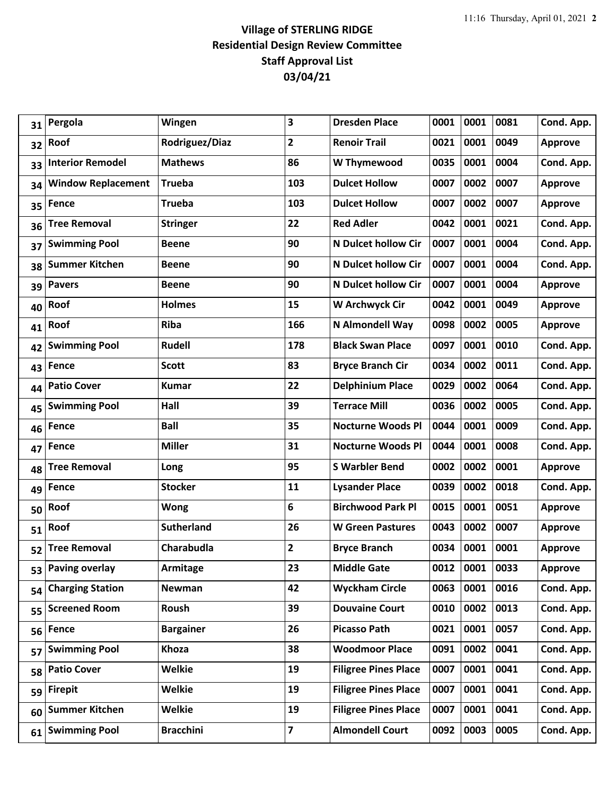## **Village of STERLING RIDGE Residential Design Review Committee Staff Approval List 03/04/21**

| 31 | Pergola                   | Wingen            | 3                       | <b>Dresden Place</b>        | 0001 | 0001      | 0081 | Cond. App.     |
|----|---------------------------|-------------------|-------------------------|-----------------------------|------|-----------|------|----------------|
| 32 | Roof                      | Rodriguez/Diaz    | $\overline{2}$          | <b>Renoir Trail</b>         | 0021 | 0001      | 0049 | <b>Approve</b> |
| 33 | <b>Interior Remodel</b>   | <b>Mathews</b>    | 86                      | W Thymewood                 | 0035 | 0001      | 0004 | Cond. App.     |
| 34 | <b>Window Replacement</b> | <b>Trueba</b>     | 103                     | <b>Dulcet Hollow</b>        | 0007 | 0002      | 0007 | <b>Approve</b> |
| 35 | Fence                     | <b>Trueba</b>     | 103                     | <b>Dulcet Hollow</b>        | 0007 | 0002      | 0007 | <b>Approve</b> |
| 36 | <b>Tree Removal</b>       | <b>Stringer</b>   | 22                      | <b>Red Adler</b>            | 0042 | 0001      | 0021 | Cond. App.     |
| 37 | <b>Swimming Pool</b>      | <b>Beene</b>      | 90                      | N Dulcet hollow Cir         | 0007 | 0001      | 0004 | Cond. App.     |
| 38 | <b>Summer Kitchen</b>     | <b>Beene</b>      | 90                      | N Dulcet hollow Cir         | 0007 | 0001      | 0004 | Cond. App.     |
| 39 | <b>Pavers</b>             | <b>Beene</b>      | 90                      | N Dulcet hollow Cir         | 0007 | 0001      | 0004 | <b>Approve</b> |
| 40 | Roof                      | <b>Holmes</b>     | 15                      | W Archwyck Cir              | 0042 | 0001      | 0049 | <b>Approve</b> |
| 41 | Roof                      | <b>Riba</b>       | 166                     | N Almondell Way             | 0098 | 0002      | 0005 | <b>Approve</b> |
| 42 | <b>Swimming Pool</b>      | Rudell            | 178                     | <b>Black Swan Place</b>     | 0097 | 0001      | 0010 | Cond. App.     |
| 43 | <b>Fence</b>              | <b>Scott</b>      | 83                      | <b>Bryce Branch Cir</b>     | 0034 | 0002      | 0011 | Cond. App.     |
| 44 | <b>Patio Cover</b>        | Kumar             | 22                      | <b>Delphinium Place</b>     | 0029 | 0002      | 0064 | Cond. App.     |
| 45 | <b>Swimming Pool</b>      | Hall              | 39                      | <b>Terrace Mill</b>         | 0036 | 0002      | 0005 | Cond. App.     |
| 46 | <b>Fence</b>              | <b>Ball</b>       | 35                      | <b>Nocturne Woods Pl</b>    | 0044 | 0001      | 0009 | Cond. App.     |
| 47 | <b>Fence</b>              | <b>Miller</b>     | 31                      | <b>Nocturne Woods Pl</b>    | 0044 | 0001      | 0008 | Cond. App.     |
| 48 | <b>Tree Removal</b>       | Long              | 95                      | <b>S Warbler Bend</b>       | 0002 | 0002      | 0001 | <b>Approve</b> |
| 49 | Fence                     | <b>Stocker</b>    | 11                      | <b>Lysander Place</b>       | 0039 | 0002      | 0018 | Cond. App.     |
| 50 | Roof                      | <b>Wong</b>       | 6                       | <b>Birchwood Park Pl</b>    | 0015 | 0001      | 0051 | <b>Approve</b> |
| 51 | Roof                      | <b>Sutherland</b> | 26                      | <b>W</b> Green Pastures     | 0043 | 0002      | 0007 | <b>Approve</b> |
| 52 | <b>Tree Removal</b>       | Charabudla        | $\overline{2}$          | <b>Bryce Branch</b>         | 0034 | 0001      | 0001 | <b>Approve</b> |
| 53 | <b>Paving overlay</b>     | Armitage          | 23                      | <b>Middle Gate</b>          | 0012 | 0001 0033 |      | <b>Approve</b> |
| 54 | <b>Charging Station</b>   | Newman            | 42                      | <b>Wyckham Circle</b>       | 0063 | 0001      | 0016 | Cond. App.     |
| 55 | <b>Screened Room</b>      | Roush             | 39                      | <b>Douvaine Court</b>       | 0010 | 0002      | 0013 | Cond. App.     |
| 56 | <b>Fence</b>              | <b>Bargainer</b>  | 26                      | <b>Picasso Path</b>         | 0021 | 0001      | 0057 | Cond. App.     |
| 57 | <b>Swimming Pool</b>      | Khoza             | 38                      | <b>Woodmoor Place</b>       | 0091 | 0002      | 0041 | Cond. App.     |
| 58 | <b>Patio Cover</b>        | <b>Welkie</b>     | 19                      | <b>Filigree Pines Place</b> | 0007 | 0001      | 0041 | Cond. App.     |
| 59 | <b>Firepit</b>            | <b>Welkie</b>     | 19                      | <b>Filigree Pines Place</b> | 0007 | 0001      | 0041 | Cond. App.     |
| 60 | <b>Summer Kitchen</b>     | <b>Welkie</b>     | 19                      | <b>Filigree Pines Place</b> | 0007 | 0001      | 0041 | Cond. App.     |
| 61 | <b>Swimming Pool</b>      | <b>Bracchini</b>  | $\overline{\mathbf{z}}$ | <b>Almondell Court</b>      | 0092 | 0003      | 0005 | Cond. App.     |